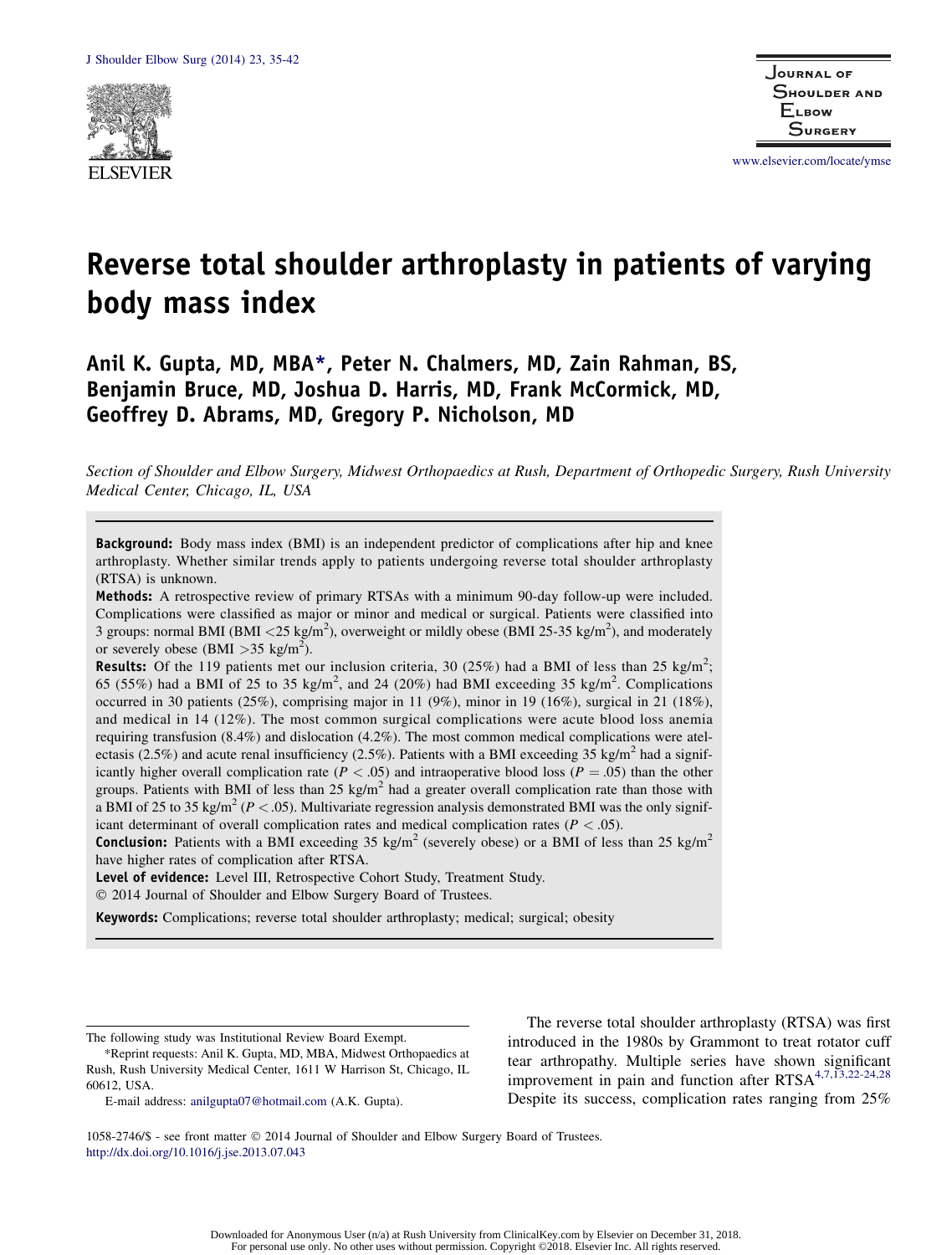

www.elsevier.com/locate/ymse

# Reverse total shoulder arthroplasty in patients of varying body mass index

Anil K. Gupta, MD, MBA\*, Peter N. Chalmers, MD, Zain Rahman, BS, Benjamin Bruce, MD, Joshua D. Harris, MD, Frank McCormick, MD, Geoffrey D. Abrams, MD, Gregory P. Nicholson, MD

Section of Shoulder and Elbow Surgery, Midwest Orthopaedics at Rush, Department of Orthopedic Surgery, Rush University Medical Center, Chicago, IL, USA

Background: Body mass index (BMI) is an independent predictor of complications after hip and knee arthroplasty. Whether similar trends apply to patients undergoing reverse total shoulder arthroplasty (RTSA) is unknown.

Methods: A retrospective review of primary RTSAs with a minimum 90-day follow-up were included. Complications were classified as major or minor and medical or surgical. Patients were classified into 3 groups: normal BMI (BMI <25 kg/m<sup>2</sup>), overweight or mildly obese (BMI 25-35 kg/m<sup>2</sup>), and moderately or severely obese (BMI > 35 kg/m<sup>2</sup>).

**Results:** Of the 119 patients met our inclusion criteria, 30 (25%) had a BMI of less than 25 kg/m<sup>2</sup>; 65 (55%) had a BMI of 25 to 35 kg/m<sup>2</sup>, and 24 (20%) had BMI exceeding 35 kg/m<sup>2</sup>. Complications occurred in 30 patients (25%), comprising major in 11 (9%), minor in 19 (16%), surgical in 21 (18%), and medical in 14 (12%). The most common surgical complications were acute blood loss anemia requiring transfusion (8.4%) and dislocation (4.2%). The most common medical complications were atelectasis (2.5%) and acute renal insufficiency (2.5%). Patients with a BMI exceeding 35 kg/m<sup>2</sup> had a significantly higher overall complication rate ( $P < .05$ ) and intraoperative blood loss ( $P = .05$ ) than the other groups. Patients with BMI of less than 25 kg/m<sup>2</sup> had a greater overall complication rate than those with a BMI of 25 to 35 kg/m<sup>2</sup> ( $P < .05$ ). Multivariate regression analysis demonstrated BMI was the only significant determinant of overall complication rates and medical complication rates ( $P < .05$ ).

**Conclusion:** Patients with a BMI exceeding 35 kg/m<sup>2</sup> (severely obese) or a BMI of less than 25 kg/m<sup>2</sup> have higher rates of complication after RTSA.

Level of evidence: Level III, Retrospective Cohort Study, Treatment Study.

2014 Journal of Shoulder and Elbow Surgery Board of Trustees.

Keywords: Complications; reverse total shoulder arthroplasty; medical; surgical; obesity

The following study was Institutional Review Board Exempt.

E-mail address: anilgupta07@hotmail.com (A.K. Gupta).

The reverse total shoulder arthroplasty (RTSA) was first introduced in the 1980s by Grammont to treat rotator cuff tear arthropathy. Multiple series have shown significant improvement in pain and function after  $RTSA^{4,7,\overline{13},22\text{-}24,28}$ Despite its success, complication rates ranging from 25%

1058-2746/\$ - see front matter 2014 Journal of Shoulder and Elbow Surgery Board of Trustees. http://dx.doi.org/10.1016/j.jse.2013.07.043

<sup>\*</sup>Reprint requests: Anil K. Gupta, MD, MBA, Midwest Orthopaedics at Rush, Rush University Medical Center, 1611 W Harrison St, Chicago, IL 60612, USA.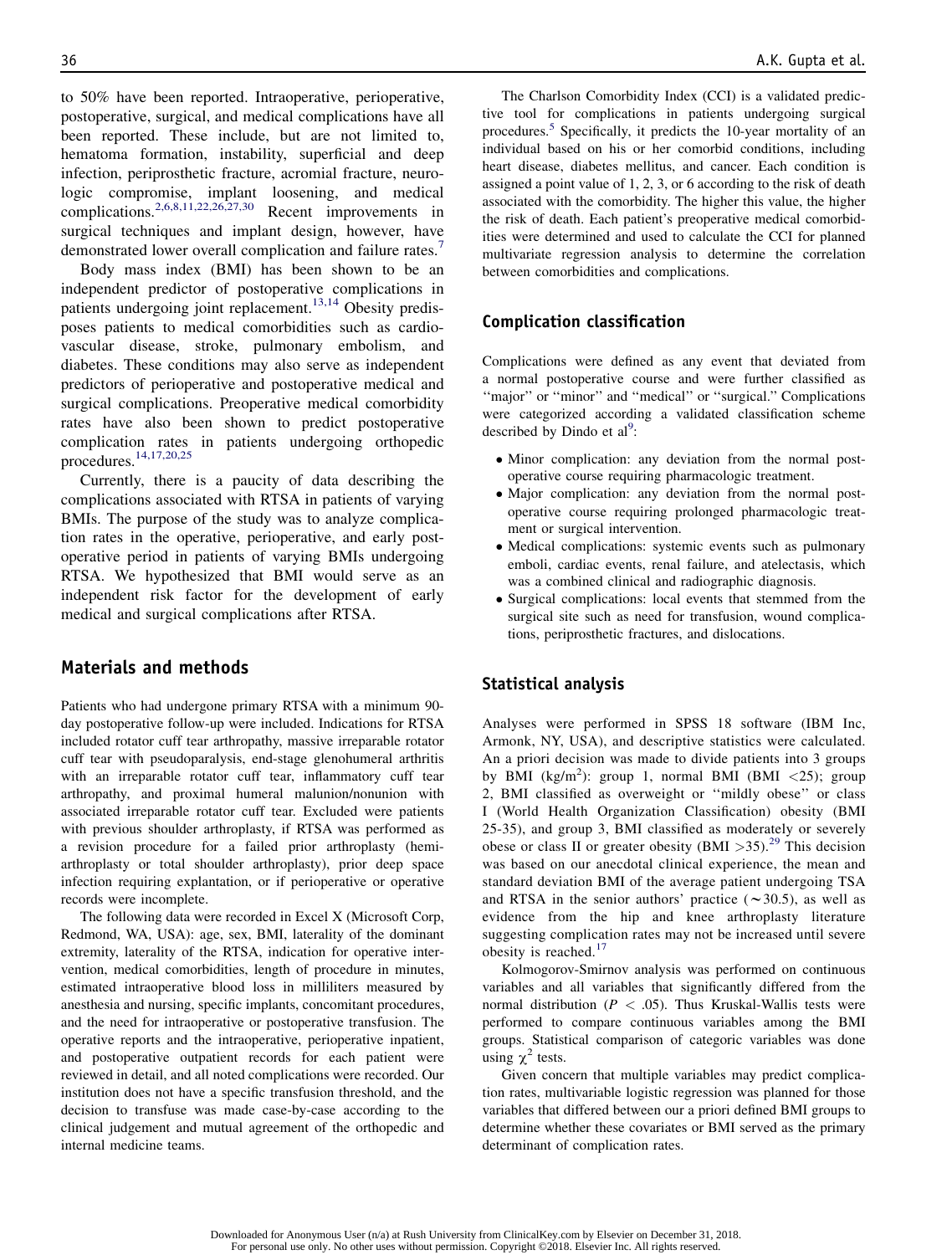to 50% have been reported. Intraoperative, perioperative, postoperative, surgical, and medical complications have all been reported. These include, but are not limited to, hematoma formation, instability, superficial and deep infection, periprosthetic fracture, acromial fracture, neurologic compromise, implant loosening, and medical complications.2,6,8,11,22,26,27,30 Recent improvements in surgical techniques and implant design, however, have demonstrated lower overall complication and failure rates.<sup>1</sup>

Body mass index (BMI) has been shown to be an independent predictor of postoperative complications in patients undergoing joint replacement.<sup>13,14</sup> Obesity predisposes patients to medical comorbidities such as cardiovascular disease, stroke, pulmonary embolism, and diabetes. These conditions may also serve as independent predictors of perioperative and postoperative medical and surgical complications. Preoperative medical comorbidity rates have also been shown to predict postoperative complication rates in patients undergoing orthopedic procedures.14,17,20,25

Currently, there is a paucity of data describing the complications associated with RTSA in patients of varying BMIs. The purpose of the study was to analyze complication rates in the operative, perioperative, and early postoperative period in patients of varying BMIs undergoing RTSA. We hypothesized that BMI would serve as an independent risk factor for the development of early medical and surgical complications after RTSA.

# Materials and methods

Patients who had undergone primary RTSA with a minimum 90 day postoperative follow-up were included. Indications for RTSA included rotator cuff tear arthropathy, massive irreparable rotator cuff tear with pseudoparalysis, end-stage glenohumeral arthritis with an irreparable rotator cuff tear, inflammatory cuff tear arthropathy, and proximal humeral malunion/nonunion with associated irreparable rotator cuff tear. Excluded were patients with previous shoulder arthroplasty, if RTSA was performed as a revision procedure for a failed prior arthroplasty (hemiarthroplasty or total shoulder arthroplasty), prior deep space infection requiring explantation, or if perioperative or operative records were incomplete.

The following data were recorded in Excel X (Microsoft Corp, Redmond, WA, USA): age, sex, BMI, laterality of the dominant extremity, laterality of the RTSA, indication for operative intervention, medical comorbidities, length of procedure in minutes, estimated intraoperative blood loss in milliliters measured by anesthesia and nursing, specific implants, concomitant procedures, and the need for intraoperative or postoperative transfusion. The operative reports and the intraoperative, perioperative inpatient, and postoperative outpatient records for each patient were reviewed in detail, and all noted complications were recorded. Our institution does not have a specific transfusion threshold, and the decision to transfuse was made case-by-case according to the clinical judgement and mutual agreement of the orthopedic and internal medicine teams.

The Charlson Comorbidity Index (CCI) is a validated predictive tool for complications in patients undergoing surgical procedures.<sup>5</sup> Specifically, it predicts the 10-year mortality of an individual based on his or her comorbid conditions, including heart disease, diabetes mellitus, and cancer. Each condition is assigned a point value of 1, 2, 3, or 6 according to the risk of death associated with the comorbidity. The higher this value, the higher the risk of death. Each patient's preoperative medical comorbidities were determined and used to calculate the CCI for planned multivariate regression analysis to determine the correlation between comorbidities and complications.

# Complication classification

Complications were defined as any event that deviated from a normal postoperative course and were further classified as ''major'' or ''minor'' and ''medical'' or ''surgical.'' Complications were categorized according a validated classification scheme described by Dindo et  $al^9$ :

- Minor complication: any deviation from the normal postoperative course requiring pharmacologic treatment.
- Major complication: any deviation from the normal postoperative course requiring prolonged pharmacologic treatment or surgical intervention.
- Medical complications: systemic events such as pulmonary emboli, cardiac events, renal failure, and atelectasis, which was a combined clinical and radiographic diagnosis.
- Surgical complications: local events that stemmed from the surgical site such as need for transfusion, wound complications, periprosthetic fractures, and dislocations.

#### Statistical analysis

Analyses were performed in SPSS 18 software (IBM Inc, Armonk, NY, USA), and descriptive statistics were calculated. An a priori decision was made to divide patients into 3 groups by BMI (kg/m<sup>2</sup>): group 1, normal BMI (BMI <25); group 2, BMI classified as overweight or ''mildly obese'' or class I (World Health Organization Classification) obesity (BMI 25-35), and group 3, BMI classified as moderately or severely obese or class II or greater obesity (BMI  $>35$ ).<sup>29</sup> This decision was based on our anecdotal clinical experience, the mean and standard deviation BMI of the average patient undergoing TSA and RTSA in the senior authors' practice ( $\sim$ 30.5), as well as evidence from the hip and knee arthroplasty literature suggesting complication rates may not be increased until severe obesity is reached.<sup>17</sup>

Kolmogorov-Smirnov analysis was performed on continuous variables and all variables that significantly differed from the normal distribution ( $P < .05$ ). Thus Kruskal-Wallis tests were performed to compare continuous variables among the BMI groups. Statistical comparison of categoric variables was done using  $\chi^2$  tests.

Given concern that multiple variables may predict complication rates, multivariable logistic regression was planned for those variables that differed between our a priori defined BMI groups to determine whether these covariates or BMI served as the primary determinant of complication rates.

Downloaded for Anonymous User (n/a) at Rush University from ClinicalKey.com by Elsevier on December 31, 2018. For personal use only. No other uses without permission. Copyright ©2018. Elsevier Inc. All rights reserved.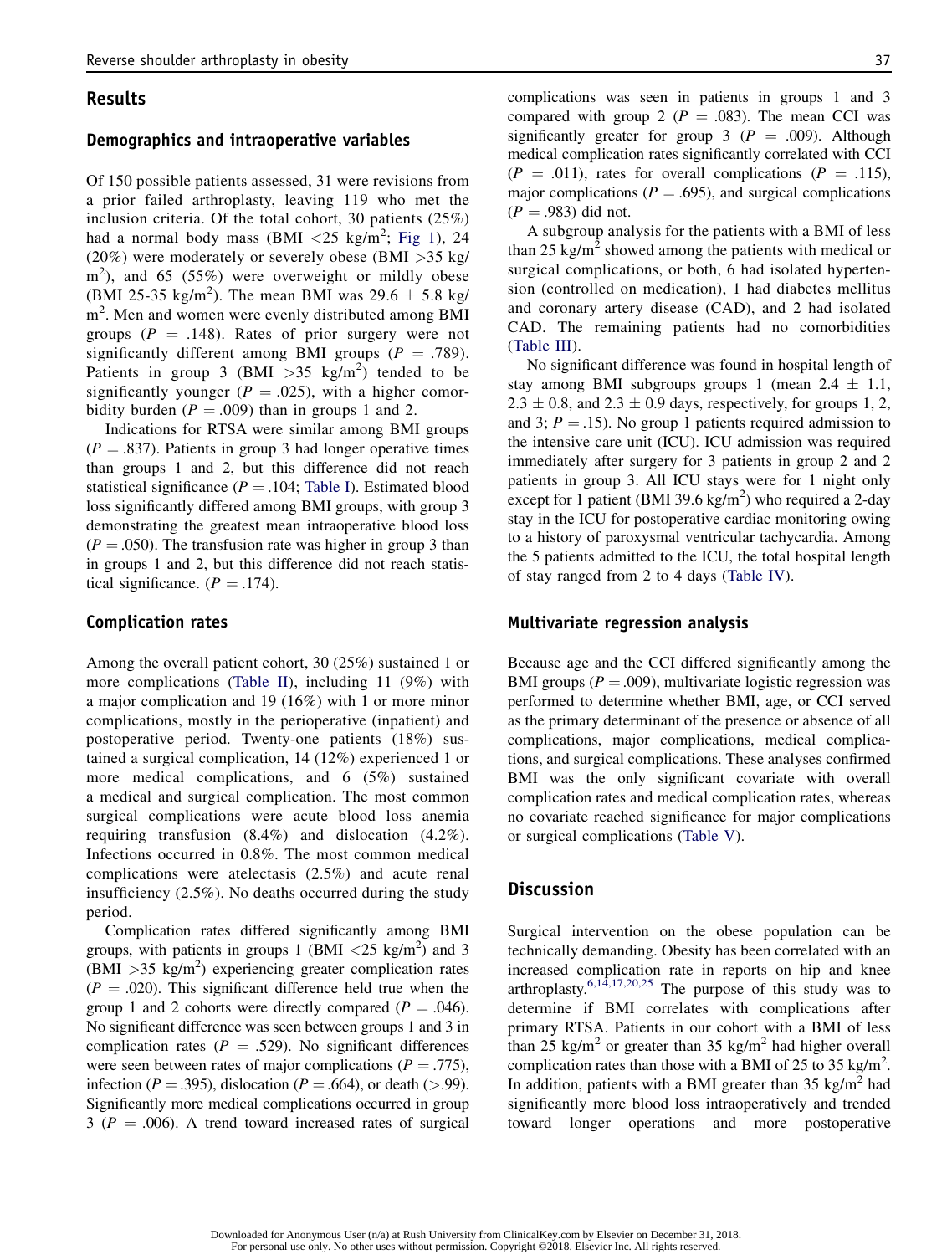## Results

## Demographics and intraoperative variables

Of 150 possible patients assessed, 31 were revisions from a prior failed arthroplasty, leaving 119 who met the inclusion criteria. Of the total cohort, 30 patients (25%) had a normal body mass  $(BMI < 25 \text{ kg/m}^2; \text{Fig 1}), 24$ (20%) were moderately or severely obese (BMI >35 kg/ m<sup>2</sup>), and 65 (55%) were overweight or mildly obese (BMI 25-35 kg/m<sup>2</sup>). The mean BMI was 29.6  $\pm$  5.8 kg/ m<sup>2</sup>. Men and women were evenly distributed among BMI groups ( $P = .148$ ). Rates of prior surgery were not significantly different among BMI groups ( $P = .789$ ). Patients in group 3 (BMI  $>35$  kg/m<sup>2</sup>) tended to be significantly younger ( $P = .025$ ), with a higher comorbidity burden ( $P = .009$ ) than in groups 1 and 2.

Indications for RTSA were similar among BMI groups  $(P = .837)$ . Patients in group 3 had longer operative times than groups 1 and 2, but this difference did not reach statistical significance ( $P = .104$ ; Table I). Estimated blood loss significantly differed among BMI groups, with group 3 demonstrating the greatest mean intraoperative blood loss  $(P = .050)$ . The transfusion rate was higher in group 3 than in groups 1 and 2, but this difference did not reach statistical significance.  $(P = .174)$ .

#### Complication rates

Among the overall patient cohort, 30 (25%) sustained 1 or more complications (Table II), including 11 (9%) with a major complication and 19 (16%) with 1 or more minor complications, mostly in the perioperative (inpatient) and postoperative period. Twenty-one patients (18%) sustained a surgical complication, 14 (12%) experienced 1 or more medical complications, and 6 (5%) sustained a medical and surgical complication. The most common surgical complications were acute blood loss anemia requiring transfusion (8.4%) and dislocation (4.2%). Infections occurred in 0.8%. The most common medical complications were atelectasis (2.5%) and acute renal insufficiency (2.5%). No deaths occurred during the study period.

Complication rates differed significantly among BMI groups, with patients in groups 1 (BMI  $\langle 25 \text{ kg/m}^2 \rangle$  and 3  $(BM\bar{I} > 35 \text{ kg/m}^2)$  experiencing greater complication rates  $(P = .020)$ . This significant difference held true when the group 1 and 2 cohorts were directly compared ( $P = .046$ ). No significant difference was seen between groups 1 and 3 in complication rates ( $P = .529$ ). No significant differences were seen between rates of major complications ( $P = .775$ ), infection ( $P = .395$ ), dislocation ( $P = .664$ ), or death (>.99). Significantly more medical complications occurred in group  $3 (P = .006)$ . A trend toward increased rates of surgical complications was seen in patients in groups 1 and 3 compared with group 2 ( $P = .083$ ). The mean CCI was significantly greater for group 3 ( $P = .009$ ). Although medical complication rates significantly correlated with CCI  $(P = .011)$ , rates for overall complications  $(P = .115)$ , major complications ( $P = .695$ ), and surgical complications  $(P = .983)$  did not.

A subgroup analysis for the patients with a BMI of less than 25 kg/m<sup>2</sup> showed among the patients with medical or surgical complications, or both, 6 had isolated hypertension (controlled on medication), 1 had diabetes mellitus and coronary artery disease (CAD), and 2 had isolated CAD. The remaining patients had no comorbidities (Table III).

No significant difference was found in hospital length of stay among BMI subgroups groups 1 (mean  $2.4 \pm 1.1$ ,  $2.3 \pm 0.8$ , and  $2.3 \pm 0.9$  days, respectively, for groups 1, 2, and 3;  $P = .15$ ). No group 1 patients required admission to the intensive care unit (ICU). ICU admission was required immediately after surgery for 3 patients in group 2 and 2 patients in group 3. All ICU stays were for 1 night only except for 1 patient (BMI 39.6 kg/m<sup>2</sup>) who required a 2-day stay in the ICU for postoperative cardiac monitoring owing to a history of paroxysmal ventricular tachycardia. Among the 5 patients admitted to the ICU, the total hospital length of stay ranged from 2 to 4 days (Table IV).

#### Multivariate regression analysis

Because age and the CCI differed significantly among the BMI groups ( $P = .009$ ), multivariate logistic regression was performed to determine whether BMI, age, or CCI served as the primary determinant of the presence or absence of all complications, major complications, medical complications, and surgical complications. These analyses confirmed BMI was the only significant covariate with overall complication rates and medical complication rates, whereas no covariate reached significance for major complications or surgical complications (Table V).

## Discussion

Surgical intervention on the obese population can be technically demanding. Obesity has been correlated with an increased complication rate in reports on hip and knee arthroplasty.<sup>6,14,17,20,25</sup> The purpose of this study was to determine if BMI correlates with complications after primary RTSA. Patients in our cohort with a BMI of less than 25 kg/m<sup>2</sup> or greater than 35 kg/m<sup>2</sup> had higher overall complication rates than those with a BMI of 25 to 35 kg/m<sup>2</sup>. In addition, patients with a BMI greater than  $35 \text{ kg/m}^2$  had significantly more blood loss intraoperatively and trended toward longer operations and more postoperative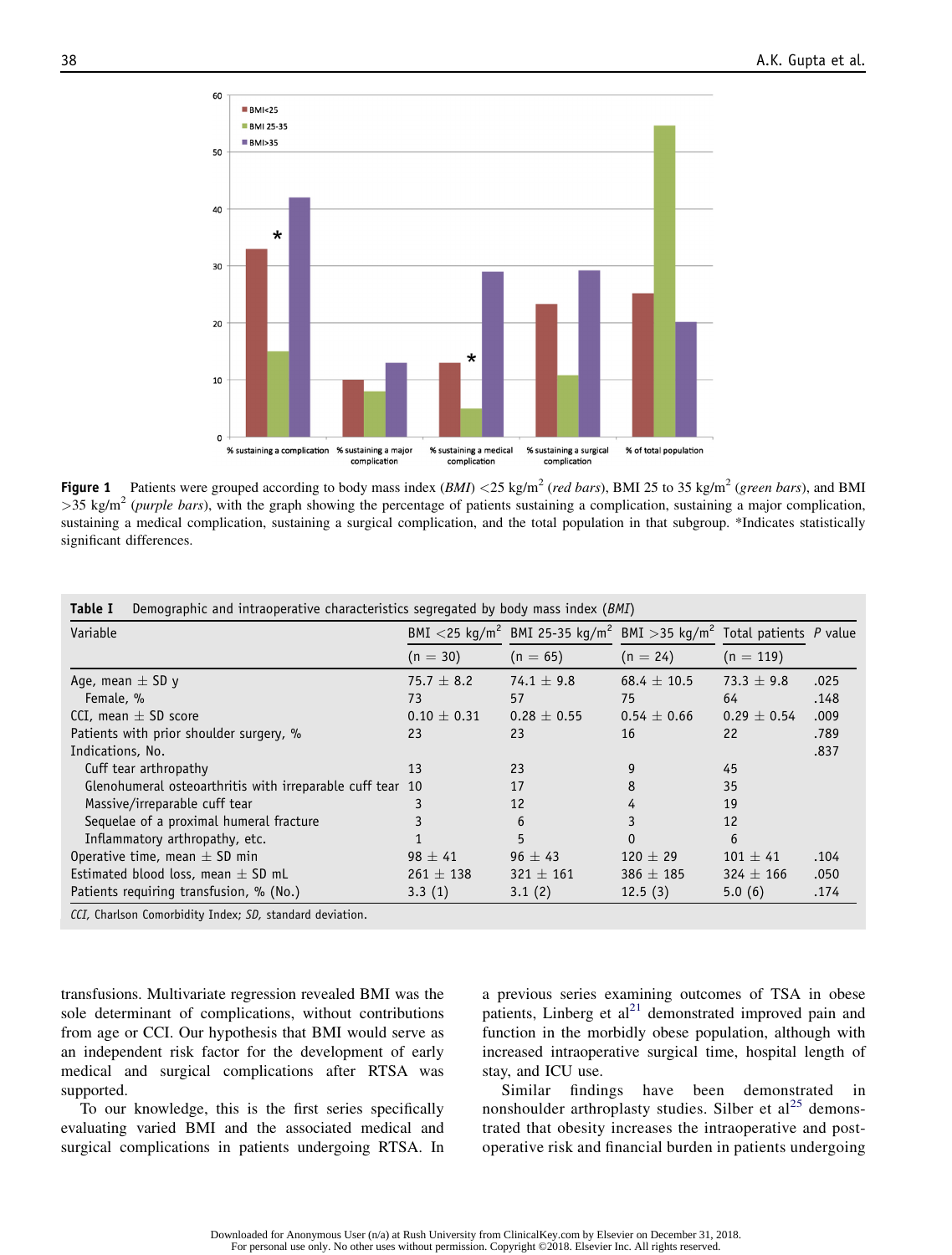

**Figure 1** Patients were grouped according to body mass index  $(BMI) < 25$  kg/m<sup>2</sup> (red bars), BMI 25 to 35 kg/m<sup>2</sup> (green bars), and BMI  $>$ 35 kg/m<sup>2</sup> (purple bars), with the graph showing the percentage of patients sustaining a complication, sustaining a major complication, sustaining a medical complication, sustaining a surgical complication, and the total population in that subgroup. \*Indicates statistically significant differences.

| Variable                                                  |                 | BMI <25 kg/m <sup>2</sup> BMI 25-35 kg/m <sup>2</sup> BMI >35 kg/m <sup>2</sup> Total patients P value |                 |                 |      |
|-----------------------------------------------------------|-----------------|--------------------------------------------------------------------------------------------------------|-----------------|-----------------|------|
|                                                           | $(n = 30)$      | $(n = 65)$                                                                                             | $(n = 24)$      | $(n = 119)$     |      |
| Age, mean $\pm$ SD y                                      | 75.7 $\pm$ 8.2  | $74.1 \pm 9.8$                                                                                         | $68.4 \pm 10.5$ | 73.3 $\pm$ 9.8  | .025 |
| Female, %                                                 | 73              | 57                                                                                                     | 75              | 64              | .148 |
| CCI, mean $\pm$ SD score                                  | $0.10 \pm 0.31$ | $0.28 \pm 0.55$                                                                                        | $0.54 \pm 0.66$ | $0.29 \pm 0.54$ | .009 |
| Patients with prior shoulder surgery, %                   | 23              | 23                                                                                                     | 16              | 22              | .789 |
| Indications, No.                                          |                 |                                                                                                        |                 |                 | .837 |
| Cuff tear arthropathy                                     | 13              | 23                                                                                                     | 9               | 45              |      |
| Glenohumeral osteoarthritis with irreparable cuff tear 10 |                 | 17                                                                                                     | 8               | 35              |      |
| Massive/irreparable cuff tear                             |                 | 12                                                                                                     | 4               | 19              |      |
| Sequelae of a proximal humeral fracture                   |                 | 6                                                                                                      |                 | 12              |      |
| Inflammatory arthropathy, etc.                            |                 | 5                                                                                                      | $\Omega$        | 6               |      |
| Operative time, mean $\pm$ SD min                         | $98 \pm 41$     | $96 \pm 43$                                                                                            | $120 \pm 29$    | $101 \pm 41$    | .104 |
| Estimated blood loss, mean $\pm$ SD mL                    | $261 \pm 138$   | $321 \pm 161$                                                                                          | $386 \pm 185$   | $324 \pm 166$   | .050 |
| Patients requiring transfusion, % (No.)                   | 3.3(1)          | 3.1(2)                                                                                                 | 12.5(3)         | 5.0(6)          | .174 |

| <b>Table I</b> Demographic and intraoperative characteristics segregated by body mass index (BMI) |  |  |  |  |  |  |
|---------------------------------------------------------------------------------------------------|--|--|--|--|--|--|
|---------------------------------------------------------------------------------------------------|--|--|--|--|--|--|

CCI, Charlson Comorbidity Index; SD, standard deviation.

transfusions. Multivariate regression revealed BMI was the sole determinant of complications, without contributions from age or CCI. Our hypothesis that BMI would serve as an independent risk factor for the development of early medical and surgical complications after RTSA was supported.

To our knowledge, this is the first series specifically evaluating varied BMI and the associated medical and surgical complications in patients undergoing RTSA. In a previous series examining outcomes of TSA in obese patients, Linberg et  $al^{21}$  demonstrated improved pain and function in the morbidly obese population, although with increased intraoperative surgical time, hospital length of stay, and ICU use.

Similar findings have been demonstrated in nonshoulder arthroplasty studies. Silber et  $al^{25}$  demonstrated that obesity increases the intraoperative and postoperative risk and financial burden in patients undergoing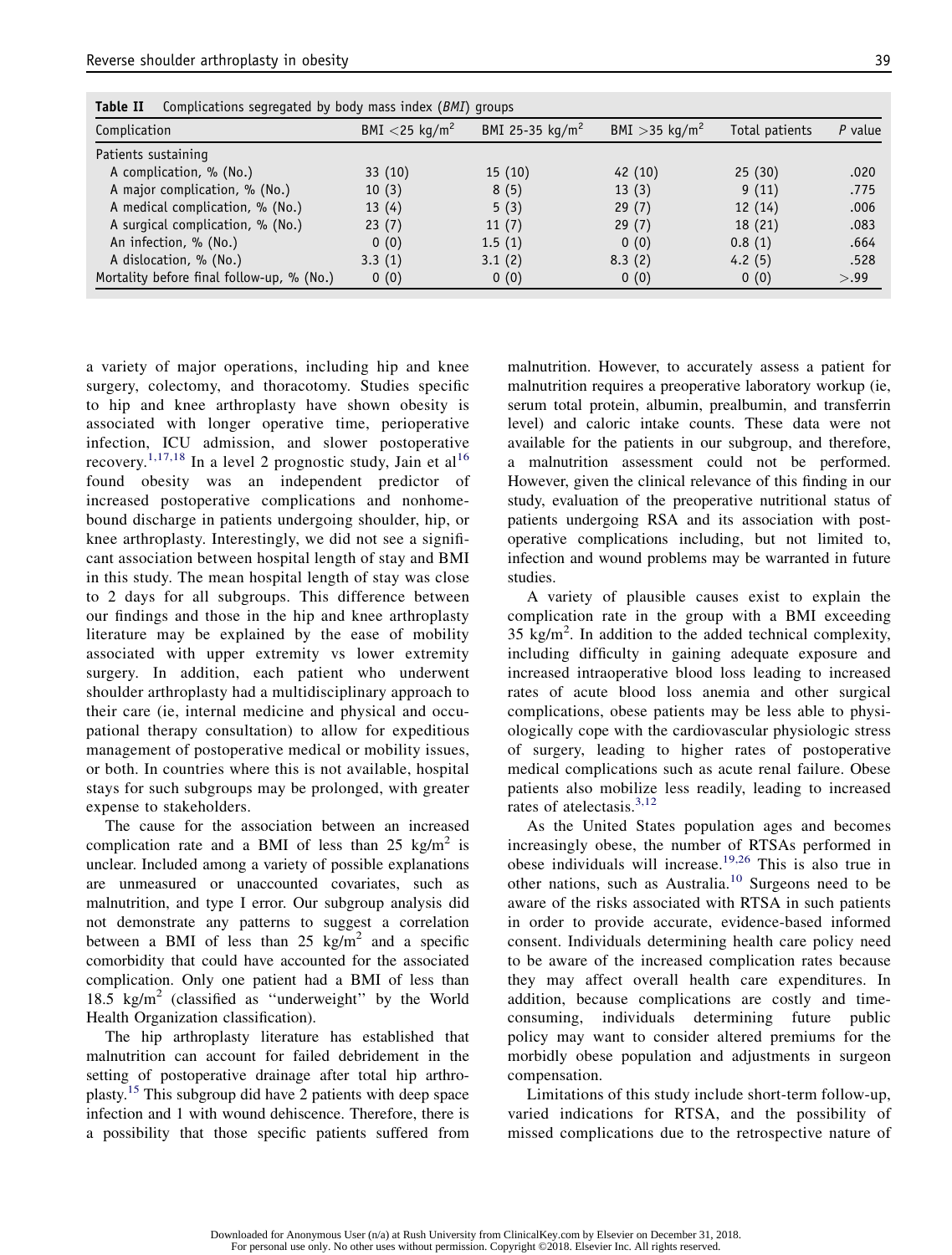| Complication                              | BMI $<$ 25 kg/m <sup>2</sup> | BMI 25-35 $kg/m^2$ | $BMI > 35$ kg/m <sup>2</sup> | Total patients | $P$ value |
|-------------------------------------------|------------------------------|--------------------|------------------------------|----------------|-----------|
|                                           |                              |                    |                              |                |           |
| Patients sustaining                       |                              |                    |                              |                |           |
| A complication, % (No.)                   | 33(10)                       | 15(10)             | 42(10)                       | 25(30)         | .020      |
| A major complication, % (No.)             | 10(3)                        | 8(5)               | 13(3)                        | 9(11)          | .775      |
| A medical complication, % (No.)           | 13(4)                        | 5(3)               | 29(7)                        | 12(14)         | .006      |
| A surgical complication, % (No.)          | 23(7)                        | 11(7)              | 29(7)                        | 18 (21)        | .083      |
| An infection, % (No.)                     | 0(0)                         | 1.5(1)             | 0(0)                         | 0.8(1)         | .664      |
| A dislocation, % (No.)                    | 3.3(1)                       | 3.1(2)             | 8.3(2)                       | 4.2 $(5)$      | .528      |
| Mortality before final follow-up, % (No.) | 0(0)                         | 0(0)               | 0(0)                         | 0(0)           | > .99     |

a variety of major operations, including hip and knee surgery, colectomy, and thoracotomy. Studies specific to hip and knee arthroplasty have shown obesity is associated with longer operative time, perioperative infection, ICU admission, and slower postoperative recovery.<sup>1,17,18</sup> In a level 2 prognostic study, Jain et al<sup>16</sup> found obesity was an independent predictor of increased postoperative complications and nonhomebound discharge in patients undergoing shoulder, hip, or knee arthroplasty. Interestingly, we did not see a significant association between hospital length of stay and BMI in this study. The mean hospital length of stay was close to 2 days for all subgroups. This difference between our findings and those in the hip and knee arthroplasty literature may be explained by the ease of mobility associated with upper extremity vs lower extremity surgery. In addition, each patient who underwent shoulder arthroplasty had a multidisciplinary approach to their care (ie, internal medicine and physical and occupational therapy consultation) to allow for expeditious management of postoperative medical or mobility issues, or both. In countries where this is not available, hospital stays for such subgroups may be prolonged, with greater expense to stakeholders.

The cause for the association between an increased complication rate and a BMI of less than 25 kg/m<sup>2</sup> is unclear. Included among a variety of possible explanations are unmeasured or unaccounted covariates, such as malnutrition, and type I error. Our subgroup analysis did not demonstrate any patterns to suggest a correlation between a BMI of less than 25 kg/m<sup>2</sup> and a specific comorbidity that could have accounted for the associated complication. Only one patient had a BMI of less than 18.5 kg/m<sup>2</sup> (classified as "underweight" by the World Health Organization classification).

The hip arthroplasty literature has established that malnutrition can account for failed debridement in the setting of postoperative drainage after total hip arthroplasty.<sup>15</sup> This subgroup did have 2 patients with deep space infection and 1 with wound dehiscence. Therefore, there is a possibility that those specific patients suffered from malnutrition. However, to accurately assess a patient for malnutrition requires a preoperative laboratory workup (ie, serum total protein, albumin, prealbumin, and transferrin level) and caloric intake counts. These data were not available for the patients in our subgroup, and therefore, a malnutrition assessment could not be performed. However, given the clinical relevance of this finding in our study, evaluation of the preoperative nutritional status of patients undergoing RSA and its association with postoperative complications including, but not limited to, infection and wound problems may be warranted in future studies.

A variety of plausible causes exist to explain the complication rate in the group with a BMI exceeding  $35 \text{ kg/m}^2$ . In addition to the added technical complexity, including difficulty in gaining adequate exposure and increased intraoperative blood loss leading to increased rates of acute blood loss anemia and other surgical complications, obese patients may be less able to physiologically cope with the cardiovascular physiologic stress of surgery, leading to higher rates of postoperative medical complications such as acute renal failure. Obese patients also mobilize less readily, leading to increased rates of atelectasis.<sup>3,12</sup>

As the United States population ages and becomes increasingly obese, the number of RTSAs performed in obese individuals will increase.<sup>19,26</sup> This is also true in other nations, such as Australia.<sup>10</sup> Surgeons need to be aware of the risks associated with RTSA in such patients in order to provide accurate, evidence-based informed consent. Individuals determining health care policy need to be aware of the increased complication rates because they may affect overall health care expenditures. In addition, because complications are costly and timeconsuming, individuals determining future public policy may want to consider altered premiums for the morbidly obese population and adjustments in surgeon compensation.

Limitations of this study include short-term follow-up, varied indications for RTSA, and the possibility of missed complications due to the retrospective nature of

Downloaded for Anonymous User (n/a) at Rush University from ClinicalKey.com by Elsevier on December 31, 2018. For personal use only. No other uses without permission. Copyright ©2018. Elsevier Inc. All rights reserved.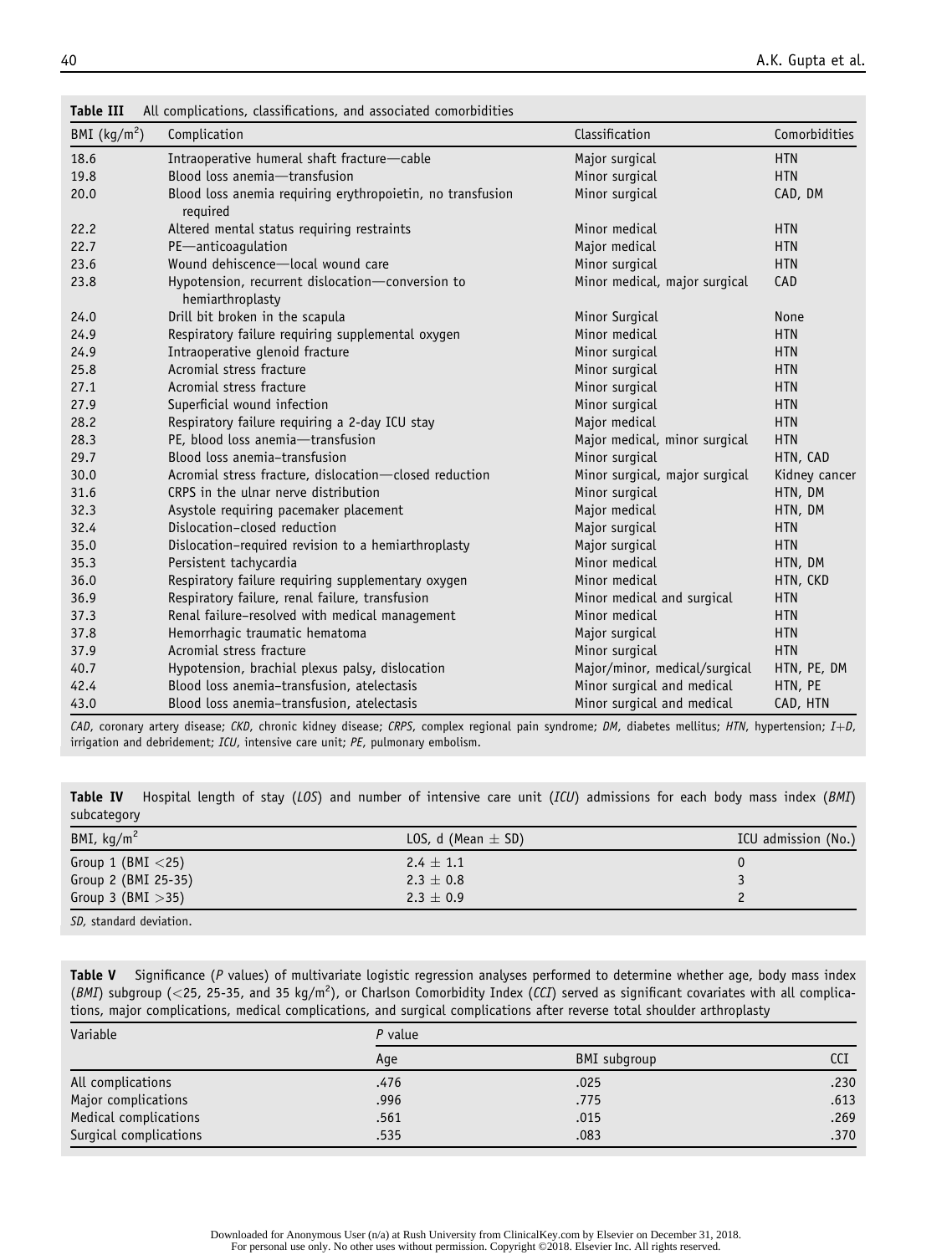| rapte 111      | All complications, classifications, and associated comorbidities       |                                |               |
|----------------|------------------------------------------------------------------------|--------------------------------|---------------|
| BMI $(kq/m^2)$ | Complication                                                           | Classification                 | Comorbidities |
| 18.6           | Intraoperative humeral shaft fracture-cable                            | Major surgical                 | <b>HTN</b>    |
| 19.8           | Blood loss anemia-transfusion                                          | Minor surgical                 | <b>HTN</b>    |
| 20.0           | Blood loss anemia requiring erythropoietin, no transfusion<br>required | Minor surgical                 | CAD, DM       |
| 22.2           | Altered mental status requiring restraints                             | Minor medical                  | <b>HTN</b>    |
| 22.7           | PE-anticoagulation                                                     | Major medical                  | <b>HTN</b>    |
| 23.6           | Wound dehiscence-local wound care                                      | Minor surgical                 | <b>HTN</b>    |
| 23.8           | Hypotension, recurrent dislocation-conversion to<br>hemiarthroplasty   | Minor medical, major surgical  | CAD           |
| 24.0           | Drill bit broken in the scapula                                        | Minor Surgical                 | None          |
| 24.9           | Respiratory failure requiring supplemental oxygen                      | Minor medical                  | <b>HTN</b>    |
| 24.9           | Intraoperative glenoid fracture                                        | Minor surgical                 | <b>HTN</b>    |
| 25.8           | Acromial stress fracture                                               | Minor surgical                 | <b>HTN</b>    |
| 27.1           | Acromial stress fracture                                               | Minor surgical                 | <b>HTN</b>    |
| 27.9           | Superficial wound infection                                            | Minor surgical                 | <b>HTN</b>    |
| 28.2           | Respiratory failure requiring a 2-day ICU stay                         | Major medical                  | <b>HTN</b>    |
| 28.3           | PE, blood loss anemia-transfusion                                      | Major medical, minor surgical  | <b>HTN</b>    |
| 29.7           | Blood loss anemia-transfusion                                          | Minor surgical                 | HTN, CAD      |
| 30.0           | Acromial stress fracture, dislocation-closed reduction                 | Minor surgical, major surgical | Kidney cancer |
| 31.6           | CRPS in the ulnar nerve distribution                                   | Minor surgical                 | HTN, DM       |
| 32.3           | Asystole requiring pacemaker placement                                 | Major medical                  | HTN, DM       |
| 32.4           | Dislocation-closed reduction                                           | Major surgical                 | <b>HTN</b>    |
| 35.0           | Dislocation-required revision to a hemiarthroplasty                    | Major surgical                 | <b>HTN</b>    |
| 35.3           | Persistent tachycardia                                                 | Minor medical                  | HTN, DM       |
| 36.0           | Respiratory failure requiring supplementary oxygen                     | Minor medical                  | HTN, CKD      |
| 36.9           | Respiratory failure, renal failure, transfusion                        | Minor medical and surgical     | <b>HTN</b>    |
| 37.3           | Renal failure-resolved with medical management                         | Minor medical                  | <b>HTN</b>    |
| 37.8           | Hemorrhagic traumatic hematoma                                         | Major surgical                 | <b>HTN</b>    |
| 37.9           | Acromial stress fracture                                               | Minor surgical                 | <b>HTN</b>    |
| 40.7           | Hypotension, brachial plexus palsy, dislocation                        | Major/minor, medical/surgical  | HTN, PE, DM   |
| 42.4           | Blood loss anemia-transfusion, atelectasis                             | Minor surgical and medical     | HTN, PE       |
| 43.0           | Blood loss anemia-transfusion, atelectasis                             | Minor surgical and medical     | CAD, HTN      |

Table III All complications, classifications, and associated comorbidities

CAD, coronary artery disease; CKD, chronic kidney disease; CRPS, complex regional pain syndrome; DM, diabetes mellitus; HTN, hypertension; I+D, irrigation and debridement; ICU, intensive care unit; PE, pulmonary embolism.

Table IV Hospital length of stay (LOS) and number of intensive care unit (ICU) admissions for each body mass index (BMI) subcategory

| BMI, $kg/m2$         | LOS, d (Mean $\pm$ SD) | ICU admission (No.) |
|----------------------|------------------------|---------------------|
| Group 1 (BMI $<$ 25) | $2.4 \pm 1.1$          |                     |
| Group 2 (BMI 25-35)  | $2.3 \pm 0.8$          |                     |
| Group 3 (BMI $>$ 35) | $2.3 \pm 0.9$          |                     |

SD, standard deviation.

Table V Significance (P values) of multivariate logistic regression analyses performed to determine whether age, body mass index (BMI) subgroup (<25, 25-35, and 35 kg/m<sup>2</sup>), or Charlson Comorbidity Index (CCI) served as significant covariates with all complications, major complications, medical complications, and surgical complications after reverse total shoulder arthroplasty

| Variable               | $P$ value |              |      |  |
|------------------------|-----------|--------------|------|--|
|                        | Age       | BMI subgroup | CCI  |  |
| All complications      | .476      | .025         | .230 |  |
| Major complications    | .996      | .775         | .613 |  |
| Medical complications  | .561      | .015         | .269 |  |
| Surgical complications | .535      | .083         | .370 |  |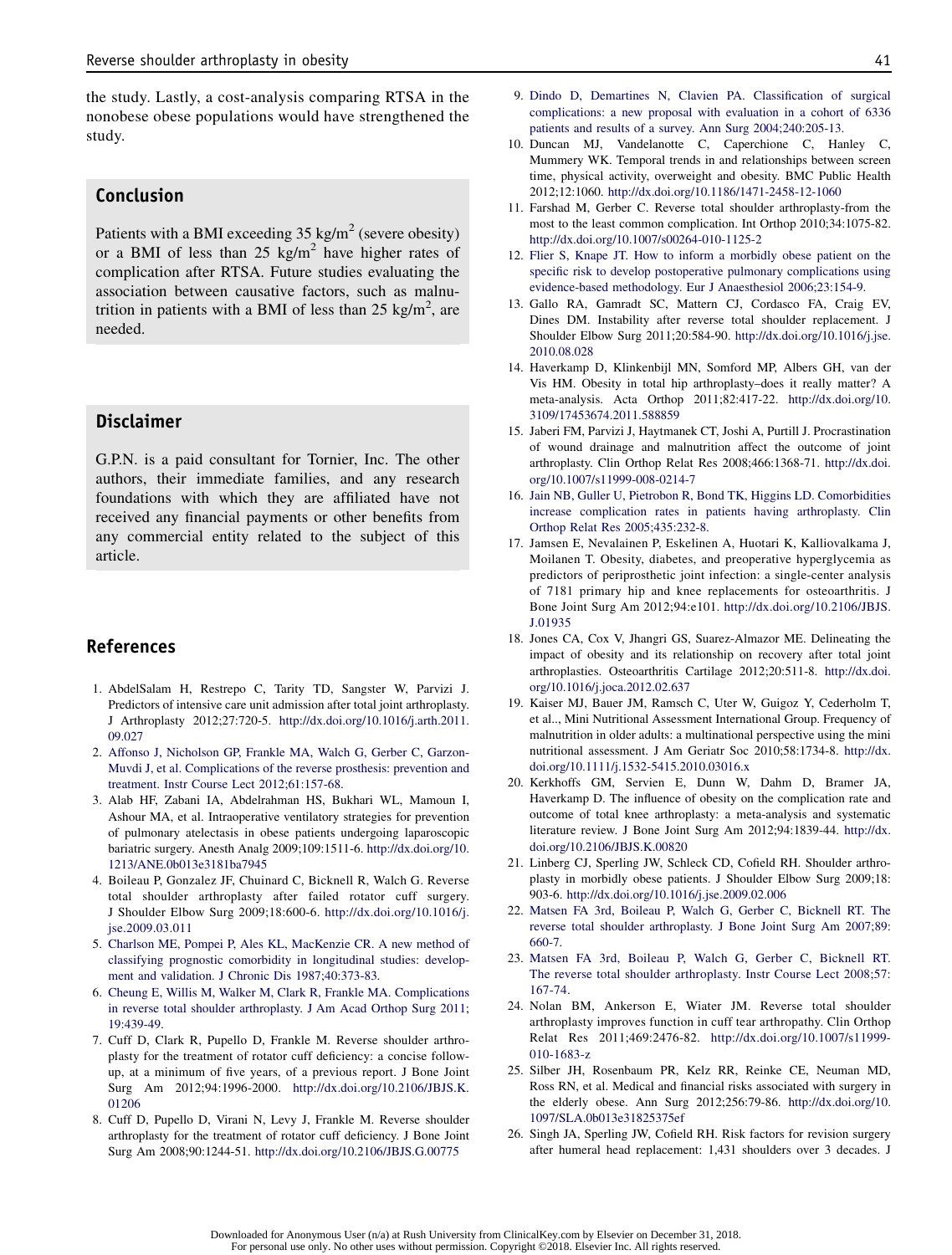the study. Lastly, a cost-analysis comparing RTSA in the nonobese obese populations would have strengthened the study.

# Conclusion

Patients with a BMI exceeding  $35 \text{ kg/m}^2$  (severe obesity) or a BMI of less than  $25 \text{ kg/m}^2$  have higher rates of complication after RTSA. Future studies evaluating the association between causative factors, such as malnutrition in patients with a BMI of less than 25 kg/m<sup>2</sup>, are needed.

# Disclaimer

G.P.N. is a paid consultant for Tornier, Inc. The other authors, their immediate families, and any research foundations with which they are affiliated have not received any financial payments or other benefits from any commercial entity related to the subject of this article.

# References

- 1. AbdelSalam H, Restrepo C, Tarity TD, Sangster W, Parvizi J. Predictors of intensive care unit admission after total joint arthroplasty. J Arthroplasty 2012;27:720-5. http://dx.doi.org/10.1016/j.arth.2011. 09.027
- 2. Affonso J, Nicholson GP, Frankle MA, Walch G, Gerber C, Garzon-Muvdi J, et al. Complications of the reverse prosthesis: prevention and treatment. Instr Course Lect 2012;61:157-68.
- 3. Alab HF, Zabani IA, Abdelrahman HS, Bukhari WL, Mamoun I, Ashour MA, et al. Intraoperative ventilatory strategies for prevention of pulmonary atelectasis in obese patients undergoing laparoscopic bariatric surgery. Anesth Analg 2009;109:1511-6. http://dx.doi.org/10. 1213/ANE.0b013e3181ba7945
- 4. Boileau P, Gonzalez JF, Chuinard C, Bicknell R, Walch G. Reverse total shoulder arthroplasty after failed rotator cuff surgery. J Shoulder Elbow Surg 2009;18:600-6. http://dx.doi.org/10.1016/j. jse.2009.03.011
- 5. Charlson ME, Pompei P, Ales KL, MacKenzie CR. A new method of classifying prognostic comorbidity in longitudinal studies: development and validation. J Chronic Dis 1987;40:373-83.
- 6. Cheung E, Willis M, Walker M, Clark R, Frankle MA. Complications in reverse total shoulder arthroplasty. J Am Acad Orthop Surg 2011; 19:439-49.
- 7. Cuff D, Clark R, Pupello D, Frankle M. Reverse shoulder arthroplasty for the treatment of rotator cuff deficiency: a concise followup, at a minimum of five years, of a previous report. J Bone Joint Surg Am 2012;94:1996-2000. http://dx.doi.org/10.2106/JBJS.K. 01206
- 8. Cuff D, Pupello D, Virani N, Levy J, Frankle M. Reverse shoulder arthroplasty for the treatment of rotator cuff deficiency. J Bone Joint Surg Am 2008;90:1244-51. http://dx.doi.org/10.2106/JBJS.G.00775
- 9. Dindo D, Demartines N, Clavien PA. Classification of surgical complications: a new proposal with evaluation in a cohort of 6336 patients and results of a survey. Ann Surg 2004;240:205-13.
- 10. Duncan MJ, Vandelanotte C, Caperchione C, Hanley C, Mummery WK. Temporal trends in and relationships between screen time, physical activity, overweight and obesity. BMC Public Health 2012;12:1060. http://dx.doi.org/10.1186/1471-2458-12-1060
- 11. Farshad M, Gerber C. Reverse total shoulder arthroplasty-from the most to the least common complication. Int Orthop 2010;34:1075-82. http://dx.doi.org/10.1007/s00264-010-1125-2
- 12. Flier S, Knape JT. How to inform a morbidly obese patient on the specific risk to develop postoperative pulmonary complications using evidence-based methodology. Eur J Anaesthesiol 2006;23:154-9.
- 13. Gallo RA, Gamradt SC, Mattern CJ, Cordasco FA, Craig EV, Dines DM. Instability after reverse total shoulder replacement. J Shoulder Elbow Surg 2011;20:584-90. http://dx.doi.org/10.1016/j.jse. 2010.08.028
- 14. Haverkamp D, Klinkenbijl MN, Somford MP, Albers GH, van der Vis HM. Obesity in total hip arthroplasty–does it really matter? A meta-analysis. Acta Orthop 2011;82:417-22. http://dx.doi.org/10. 3109/17453674.2011.588859
- 15. Jaberi FM, Parvizi J, Haytmanek CT, Joshi A, Purtill J. Procrastination of wound drainage and malnutrition affect the outcome of joint arthroplasty. Clin Orthop Relat Res 2008;466:1368-71. http://dx.doi. org/10.1007/s11999-008-0214-7
- 16. Jain NB, Guller U, Pietrobon R, Bond TK, Higgins LD. Comorbidities increase complication rates in patients having arthroplasty. Clin Orthop Relat Res 2005;435:232-8.
- 17. Jamsen E, Nevalainen P, Eskelinen A, Huotari K, Kalliovalkama J, Moilanen T. Obesity, diabetes, and preoperative hyperglycemia as predictors of periprosthetic joint infection: a single-center analysis of 7181 primary hip and knee replacements for osteoarthritis. J Bone Joint Surg Am 2012;94:e101. http://dx.doi.org/10.2106/JBJS. J.01935
- 18. Jones CA, Cox V, Jhangri GS, Suarez-Almazor ME. Delineating the impact of obesity and its relationship on recovery after total joint arthroplasties. Osteoarthritis Cartilage 2012;20:511-8. http://dx.doi. org/10.1016/j.joca.2012.02.637
- 19. Kaiser MJ, Bauer JM, Ramsch C, Uter W, Guigoz Y, Cederholm T, et al.., Mini Nutritional Assessment International Group. Frequency of malnutrition in older adults: a multinational perspective using the mini nutritional assessment. J Am Geriatr Soc 2010;58:1734-8. http://dx. doi.org/10.1111/j.1532-5415.2010.03016.x
- 20. Kerkhoffs GM, Servien E, Dunn W, Dahm D, Bramer JA, Haverkamp D. The influence of obesity on the complication rate and outcome of total knee arthroplasty: a meta-analysis and systematic literature review. J Bone Joint Surg Am 2012;94:1839-44. http://dx. doi.org/10.2106/JBJS.K.00820
- 21. Linberg CJ, Sperling JW, Schleck CD, Cofield RH. Shoulder arthroplasty in morbidly obese patients. J Shoulder Elbow Surg 2009;18: 903-6. http://dx.doi.org/10.1016/j.jse.2009.02.006
- 22. Matsen FA 3rd, Boileau P, Walch G, Gerber C, Bicknell RT. The reverse total shoulder arthroplasty. J Bone Joint Surg Am 2007;89: 660-7.
- 23. Matsen FA 3rd, Boileau P, Walch G, Gerber C, Bicknell RT. The reverse total shoulder arthroplasty. Instr Course Lect 2008;57: 167-74.
- 24. Nolan BM, Ankerson E, Wiater JM. Reverse total shoulder arthroplasty improves function in cuff tear arthropathy. Clin Orthop Relat Res 2011;469:2476-82. http://dx.doi.org/10.1007/s11999- 010-1683-z
- 25. Silber JH, Rosenbaum PR, Kelz RR, Reinke CE, Neuman MD, Ross RN, et al. Medical and financial risks associated with surgery in the elderly obese. Ann Surg 2012;256:79-86. http://dx.doi.org/10. 1097/SLA.0b013e31825375ef
- 26. Singh JA, Sperling JW, Cofield RH. Risk factors for revision surgery after humeral head replacement: 1,431 shoulders over 3 decades. J